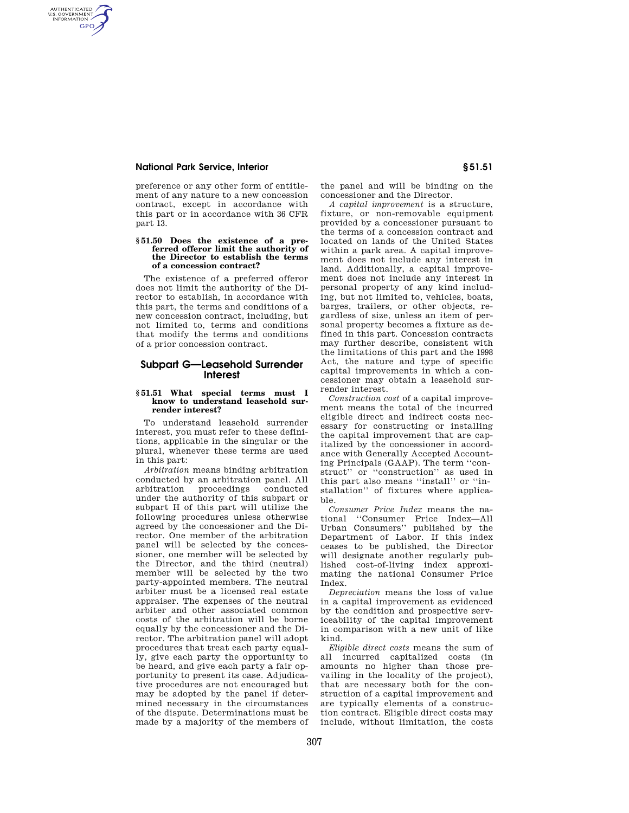# **National Park Service, Interior § 51.51**

AUTHENTICATED<br>U.S. GOVERNMENT<br>INFORMATION **GPO** 

> preference or any other form of entitlement of any nature to a new concession contract, except in accordance with this part or in accordance with 36 CFR part 13.

#### **§ 51.50 Does the existence of a preferred offeror limit the authority of the Director to establish the terms of a concession contract?**

The existence of a preferred offeror does not limit the authority of the Director to establish, in accordance with this part, the terms and conditions of a new concession contract, including, but not limited to, terms and conditions that modify the terms and conditions of a prior concession contract.

# **Subpart G—Leasehold Surrender Interest**

### **§ 51.51 What special terms must I know to understand leasehold surrender interest?**

To understand leasehold surrender interest, you must refer to these definitions, applicable in the singular or the plural, whenever these terms are used in this part:

*Arbitration* means binding arbitration conducted by an arbitration panel. All arbitration proceedings conducted under the authority of this subpart or subpart H of this part will utilize the following procedures unless otherwise agreed by the concessioner and the Director. One member of the arbitration panel will be selected by the concessioner, one member will be selected by the Director, and the third (neutral) member will be selected by the two party-appointed members. The neutral arbiter must be a licensed real estate appraiser. The expenses of the neutral arbiter and other associated common costs of the arbitration will be borne equally by the concessioner and the Director. The arbitration panel will adopt procedures that treat each party equally, give each party the opportunity to be heard, and give each party a fair opportunity to present its case. Adjudicative procedures are not encouraged but may be adopted by the panel if determined necessary in the circumstances of the dispute. Determinations must be made by a majority of the members of the panel and will be binding on the concessioner and the Director.

*A capital improvement* is a structure, fixture, or non-removable equipment provided by a concessioner pursuant to the terms of a concession contract and located on lands of the United States within a park area. A capital improvement does not include any interest in land. Additionally, a capital improvement does not include any interest in personal property of any kind including, but not limited to, vehicles, boats, barges, trailers, or other objects, regardless of size, unless an item of personal property becomes a fixture as defined in this part. Concession contracts may further describe, consistent with the limitations of this part and the 1998 Act, the nature and type of specific capital improvements in which a concessioner may obtain a leasehold surrender interest.

*Construction cost* of a capital improvement means the total of the incurred eligible direct and indirect costs necessary for constructing or installing the capital improvement that are capitalized by the concessioner in accordance with Generally Accepted Accounting Principals (GAAP). The term ''construct'' or ''construction'' as used in this part also means ''install'' or ''installation'' of fixtures where applicable.

*Consumer Price Index* means the national ''Consumer Price Index—All Urban Consumers'' published by the Department of Labor. If this index ceases to be published, the Director will designate another regularly published cost-of-living index approximating the national Consumer Price Index.

*Depreciation* means the loss of value in a capital improvement as evidenced by the condition and prospective serviceability of the capital improvement in comparison with a new unit of like kind.

*Eligible direct costs* means the sum of all incurred capitalized costs (in amounts no higher than those prevailing in the locality of the project), that are necessary both for the construction of a capital improvement and are typically elements of a construction contract. Eligible direct costs may include, without limitation, the costs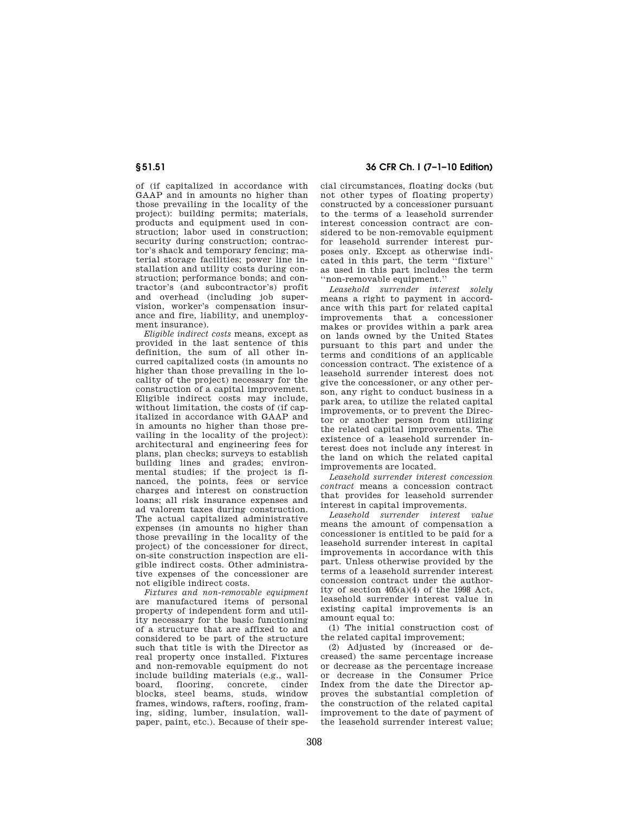of (if capitalized in accordance with GAAP and in amounts no higher than those prevailing in the locality of the project): building permits; materials, products and equipment used in construction; labor used in construction; security during construction; contractor's shack and temporary fencing; material storage facilities; power line installation and utility costs during construction; performance bonds; and contractor's (and subcontractor's) profit and overhead (including job supervision, worker's compensation insurance and fire, liability, and unemployment insurance).

*Eligible indirect costs* means, except as provided in the last sentence of this definition, the sum of all other incurred capitalized costs (in amounts no higher than those prevailing in the locality of the project) necessary for the construction of a capital improvement. Eligible indirect costs may include, without limitation, the costs of (if capitalized in accordance with GAAP and in amounts no higher than those prevailing in the locality of the project): architectural and engineering fees for plans, plan checks; surveys to establish building lines and grades; environmental studies; if the project is financed, the points, fees or service charges and interest on construction loans; all risk insurance expenses and ad valorem taxes during construction. The actual capitalized administrative expenses (in amounts no higher than those prevailing in the locality of the project) of the concessioner for direct on-site construction inspection are eligible indirect costs. Other administrative expenses of the concessioner are not eligible indirect costs.

*Fixtures and non-removable equipment*  are manufactured items of personal property of independent form and utility necessary for the basic functioning of a structure that are affixed to and considered to be part of the structure such that title is with the Director as real property once installed. Fixtures and non-removable equipment do not include building materials (e.g., wallboard, flooring, concrete, cinder blocks, steel beams, studs, window frames, windows, rafters, roofing, framing, siding, lumber, insulation, wallpaper, paint, etc.). Because of their spe-

**§ 51.51 36 CFR Ch. I (7–1–10 Edition)** 

cial circumstances, floating docks (but not other types of floating property) constructed by a concessioner pursuant to the terms of a leasehold surrender interest concession contract are considered to be non-removable equipment for leasehold surrender interest purposes only. Except as otherwise indicated in this part, the term ''fixture'' as used in this part includes the term ''non-removable equipment.''

*Leasehold surrender interest solely*  means a right to payment in accordance with this part for related capital improvements that a concessioner makes or provides within a park area on lands owned by the United States pursuant to this part and under the terms and conditions of an applicable concession contract. The existence of a leasehold surrender interest does not give the concessioner, or any other person, any right to conduct business in a park area, to utilize the related capital improvements, or to prevent the Director or another person from utilizing the related capital improvements. The existence of a leasehold surrender interest does not include any interest in the land on which the related capital improvements are located.

*Leasehold surrender interest concession contract* means a concession contract that provides for leasehold surrender interest in capital improvements.

*Leasehold surrender interest value*  means the amount of compensation a concessioner is entitled to be paid for a leasehold surrender interest in capital improvements in accordance with this part. Unless otherwise provided by the terms of a leasehold surrender interest concession contract under the authority of section 405(a)(4) of the 1998 Act, leasehold surrender interest value in existing capital improvements is an amount equal to:

(1) The initial construction cost of the related capital improvement;

(2) Adjusted by (increased or decreased) the same percentage increase or decrease as the percentage increase or decrease in the Consumer Price Index from the date the Director approves the substantial completion of the construction of the related capital improvement to the date of payment of the leasehold surrender interest value;